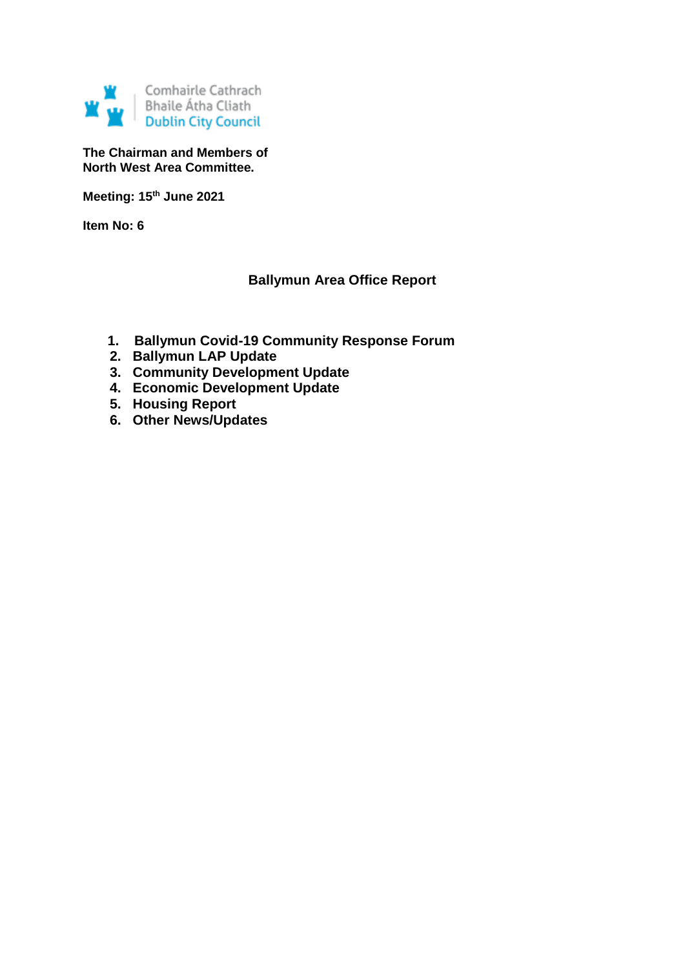

**The Chairman and Members of North West Area Committee.**

**Meeting: 15th June 2021**

**Item No: 6**

### **Ballymun Area Office Report**

- **1. Ballymun Covid-19 Community Response Forum**
- **2. Ballymun LAP Update**
	- **3. Community Development Update**
	- **4. Economic Development Update**
	- **5. Housing Report**
	- **6. Other News/Updates**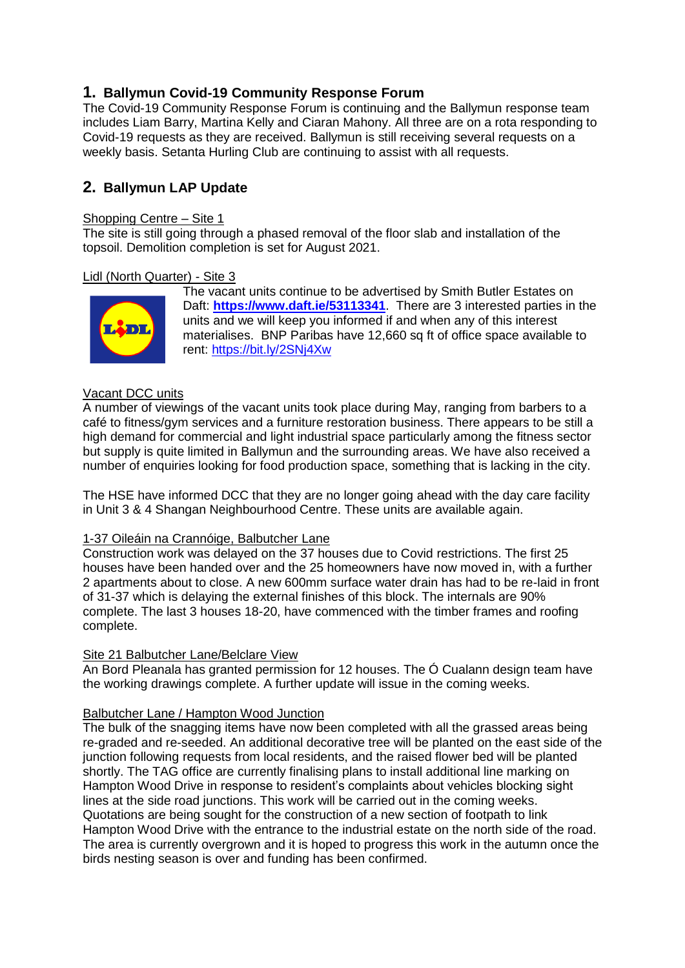# **1. Ballymun Covid-19 Community Response Forum**

The Covid-19 Community Response Forum is continuing and the Ballymun response team includes Liam Barry, Martina Kelly and Ciaran Mahony. All three are on a rota responding to Covid-19 requests as they are received. Ballymun is still receiving several requests on a weekly basis. Setanta Hurling Club are continuing to assist with all requests.

# **2. Ballymun LAP Update**

#### Shopping Centre – Site 1

The site is still going through a phased removal of the floor slab and installation of the topsoil. Demolition completion is set for August 2021.

#### Lidl (North Quarter) - Site 3



The vacant units continue to be advertised by Smith Butler Estates on Daft: **<https://www.daft.ie/53113341>**. There are 3 interested parties in the units and we will keep you informed if and when any of this interest materialises. BNP Paribas have 12,660 sq ft of office space available to rent: <https://bit.ly/2SNj4Xw>

### Vacant DCC units

A number of viewings of the vacant units took place during May, ranging from barbers to a café to fitness/gym services and a furniture restoration business. There appears to be still a high demand for commercial and light industrial space particularly among the fitness sector but supply is quite limited in Ballymun and the surrounding areas. We have also received a number of enquiries looking for food production space, something that is lacking in the city.

The HSE have informed DCC that they are no longer going ahead with the day care facility in Unit 3 & 4 Shangan Neighbourhood Centre. These units are available again.

#### 1-37 Oileáin na Crannóige, Balbutcher Lane

Construction work was delayed on the 37 houses due to Covid restrictions. The first 25 houses have been handed over and the 25 homeowners have now moved in, with a further 2 apartments about to close. A new 600mm surface water drain has had to be re-laid in front of 31-37 which is delaying the external finishes of this block. The internals are 90% complete. The last 3 houses 18-20, have commenced with the timber frames and roofing complete.

#### Site 21 Balbutcher Lane/Belclare View

An Bord Pleanala has granted permission for 12 houses. The Ó Cualann design team have the working drawings complete. A further update will issue in the coming weeks.

#### Balbutcher Lane / Hampton Wood Junction

The bulk of the snagging items have now been completed with all the grassed areas being re-graded and re-seeded. An additional decorative tree will be planted on the east side of the junction following requests from local residents, and the raised flower bed will be planted shortly. The TAG office are currently finalising plans to install additional line marking on Hampton Wood Drive in response to resident's complaints about vehicles blocking sight lines at the side road junctions. This work will be carried out in the coming weeks. Quotations are being sought for the construction of a new section of footpath to link Hampton Wood Drive with the entrance to the industrial estate on the north side of the road. The area is currently overgrown and it is hoped to progress this work in the autumn once the birds nesting season is over and funding has been confirmed.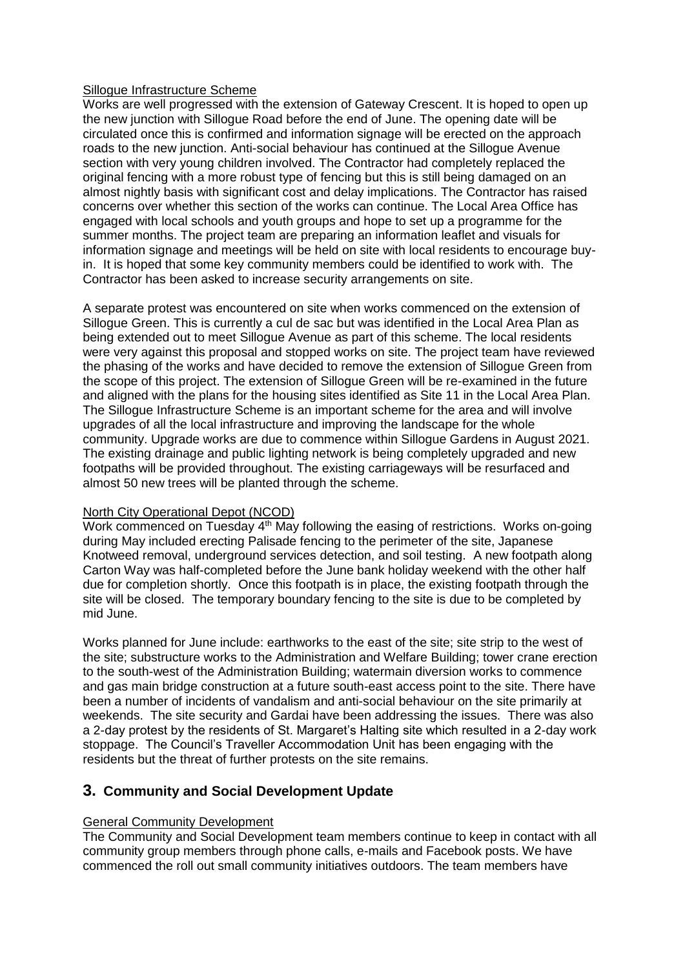#### Sillogue Infrastructure Scheme

Works are well progressed with the extension of Gateway Crescent. It is hoped to open up the new junction with Sillogue Road before the end of June. The opening date will be circulated once this is confirmed and information signage will be erected on the approach roads to the new junction. Anti-social behaviour has continued at the Sillogue Avenue section with very young children involved. The Contractor had completely replaced the original fencing with a more robust type of fencing but this is still being damaged on an almost nightly basis with significant cost and delay implications. The Contractor has raised concerns over whether this section of the works can continue. The Local Area Office has engaged with local schools and youth groups and hope to set up a programme for the summer months. The project team are preparing an information leaflet and visuals for information signage and meetings will be held on site with local residents to encourage buyin. It is hoped that some key community members could be identified to work with. The Contractor has been asked to increase security arrangements on site.

A separate protest was encountered on site when works commenced on the extension of Sillogue Green. This is currently a cul de sac but was identified in the Local Area Plan as being extended out to meet Sillogue Avenue as part of this scheme. The local residents were very against this proposal and stopped works on site. The project team have reviewed the phasing of the works and have decided to remove the extension of Sillogue Green from the scope of this project. The extension of Sillogue Green will be re-examined in the future and aligned with the plans for the housing sites identified as Site 11 in the Local Area Plan. The Sillogue Infrastructure Scheme is an important scheme for the area and will involve upgrades of all the local infrastructure and improving the landscape for the whole community. Upgrade works are due to commence within Sillogue Gardens in August 2021. The existing drainage and public lighting network is being completely upgraded and new footpaths will be provided throughout. The existing carriageways will be resurfaced and almost 50 new trees will be planted through the scheme.

#### North City Operational Depot (NCOD)

Work commenced on Tuesday  $4<sup>th</sup>$  May following the easing of restrictions. Works on-going during May included erecting Palisade fencing to the perimeter of the site, Japanese Knotweed removal, underground services detection, and soil testing. A new footpath along Carton Way was half-completed before the June bank holiday weekend with the other half due for completion shortly. Once this footpath is in place, the existing footpath through the site will be closed. The temporary boundary fencing to the site is due to be completed by mid June.

Works planned for June include: earthworks to the east of the site; site strip to the west of the site; substructure works to the Administration and Welfare Building; tower crane erection to the south-west of the Administration Building; watermain diversion works to commence and gas main bridge construction at a future south-east access point to the site. There have been a number of incidents of vandalism and anti-social behaviour on the site primarily at weekends. The site security and Gardai have been addressing the issues. There was also a 2-day protest by the residents of St. Margaret's Halting site which resulted in a 2-day work stoppage. The Council's Traveller Accommodation Unit has been engaging with the residents but the threat of further protests on the site remains.

### **3. Community and Social Development Update**

#### General Community Development

The Community and Social Development team members continue to keep in contact with all community group members through phone calls, e-mails and Facebook posts. We have commenced the roll out small community initiatives outdoors. The team members have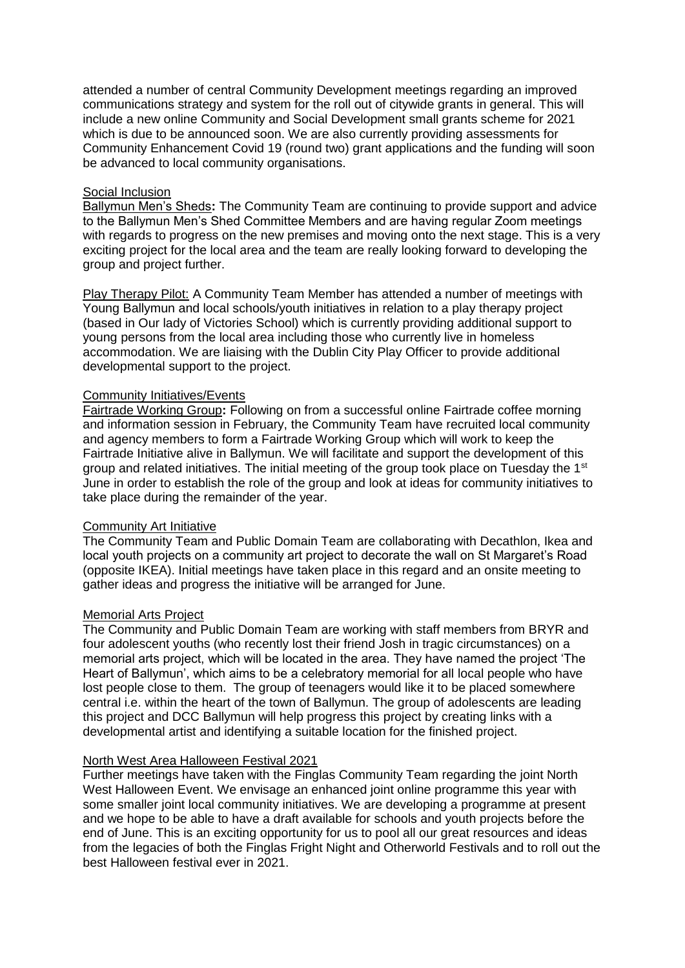attended a number of central Community Development meetings regarding an improved communications strategy and system for the roll out of citywide grants in general. This will include a new online Community and Social Development small grants scheme for 2021 which is due to be announced soon. We are also currently providing assessments for Community Enhancement Covid 19 (round two) grant applications and the funding will soon be advanced to local community organisations.

#### Social Inclusion

Ballymun Men's Sheds**:** The Community Team are continuing to provide support and advice to the Ballymun Men's Shed Committee Members and are having regular Zoom meetings with regards to progress on the new premises and moving onto the next stage. This is a very exciting project for the local area and the team are really looking forward to developing the group and project further.

Play Therapy Pilot: A Community Team Member has attended a number of meetings with Young Ballymun and local schools/youth initiatives in relation to a play therapy project (based in Our lady of Victories School) which is currently providing additional support to young persons from the local area including those who currently live in homeless accommodation. We are liaising with the Dublin City Play Officer to provide additional developmental support to the project.

#### Community Initiatives/Events

Fairtrade Working Group**:** Following on from a successful online Fairtrade coffee morning and information session in February, the Community Team have recruited local community and agency members to form a Fairtrade Working Group which will work to keep the Fairtrade Initiative alive in Ballymun. We will facilitate and support the development of this group and related initiatives. The initial meeting of the group took place on Tuesday the  $1<sup>st</sup>$ June in order to establish the role of the group and look at ideas for community initiatives to take place during the remainder of the year.

#### Community Art Initiative

The Community Team and Public Domain Team are collaborating with Decathlon, Ikea and local youth projects on a community art project to decorate the wall on St Margaret's Road (opposite IKEA). Initial meetings have taken place in this regard and an onsite meeting to gather ideas and progress the initiative will be arranged for June.

#### Memorial Arts Project

The Community and Public Domain Team are working with staff members from BRYR and four adolescent youths (who recently lost their friend Josh in tragic circumstances) on a memorial arts project, which will be located in the area. They have named the project 'The Heart of Ballymun', which aims to be a celebratory memorial for all local people who have lost people close to them. The group of teenagers would like it to be placed somewhere central i.e. within the heart of the town of Ballymun. The group of adolescents are leading this project and DCC Ballymun will help progress this project by creating links with a developmental artist and identifying a suitable location for the finished project.

#### North West Area Halloween Festival 2021

Further meetings have taken with the Finglas Community Team regarding the joint North West Halloween Event. We envisage an enhanced joint online programme this year with some smaller joint local community initiatives. We are developing a programme at present and we hope to be able to have a draft available for schools and youth projects before the end of June. This is an exciting opportunity for us to pool all our great resources and ideas from the legacies of both the Finglas Fright Night and Otherworld Festivals and to roll out the best Halloween festival ever in 2021.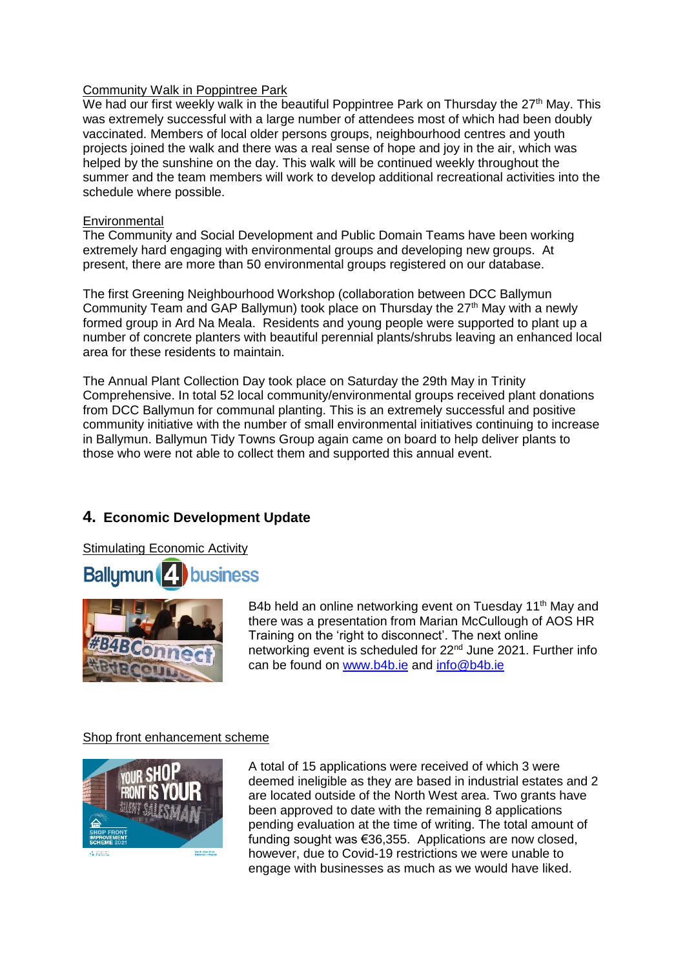#### Community Walk in Poppintree Park

We had our first weekly walk in the beautiful Poppintree Park on Thursday the  $27<sup>th</sup>$  May. This was extremely successful with a large number of attendees most of which had been doubly vaccinated. Members of local older persons groups, neighbourhood centres and youth projects joined the walk and there was a real sense of hope and joy in the air, which was helped by the sunshine on the day. This walk will be continued weekly throughout the summer and the team members will work to develop additional recreational activities into the schedule where possible.

#### **Environmental**

The Community and Social Development and Public Domain Teams have been working extremely hard engaging with environmental groups and developing new groups. At present, there are more than 50 environmental groups registered on our database.

The first Greening Neighbourhood Workshop (collaboration between DCC Ballymun Community Team and GAP Ballymun) took place on Thursday the  $27<sup>th</sup>$  May with a newly formed group in Ard Na Meala. Residents and young people were supported to plant up a number of concrete planters with beautiful perennial plants/shrubs leaving an enhanced local area for these residents to maintain.

The Annual Plant Collection Day took place on Saturday the 29th May in Trinity Comprehensive. In total 52 local community/environmental groups received plant donations from DCC Ballymun for communal planting. This is an extremely successful and positive community initiative with the number of small environmental initiatives continuing to increase in Ballymun. Ballymun Tidy Towns Group again came on board to help deliver plants to those who were not able to collect them and supported this annual event.

# **4. Economic Development Update**

Stimulating Economic Activity





B4b held an online networking event on Tuesday 11<sup>th</sup> May and there was a presentation from Marian McCullough of AOS HR Training on the 'right to disconnect'. The next online networking event is scheduled for 22<sup>nd</sup> June 2021. Further info can be found on [www.b4b.ie](http://www.b4b.ie/) and [info@b4b.ie](mailto:info@b4b.ie)

#### Shop front enhancement scheme



A total of 15 applications were received of which 3 were deemed ineligible as they are based in industrial estates and 2 are located outside of the North West area. Two grants have been approved to date with the remaining 8 applications pending evaluation at the time of writing. The total amount of funding sought was €36,355. Applications are now closed, however, due to Covid-19 restrictions we were unable to engage with businesses as much as we would have liked.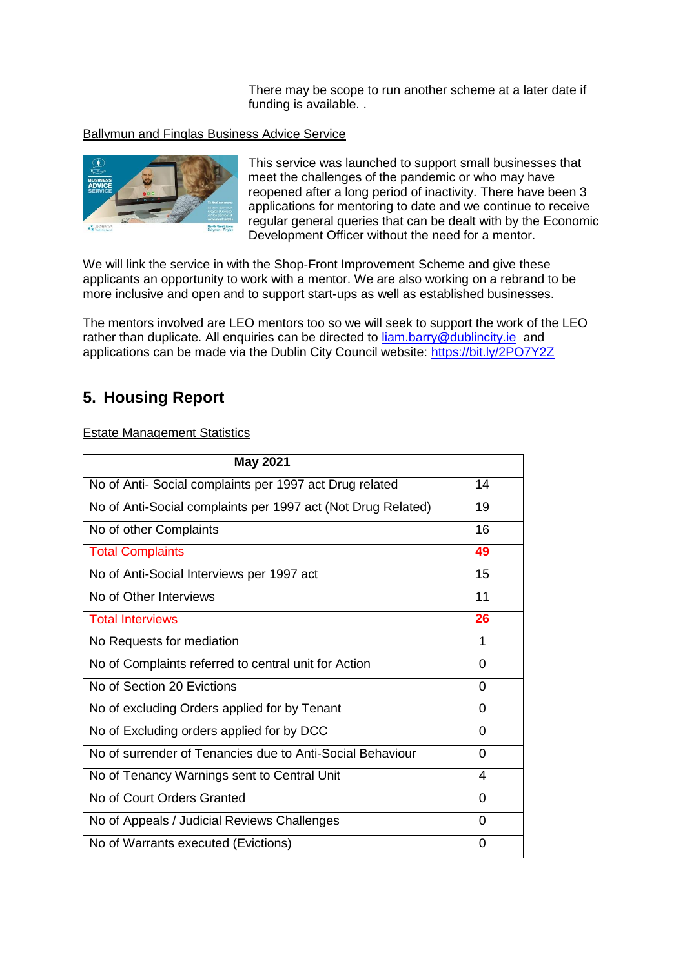There may be scope to run another scheme at a later date if funding is available. .

#### Ballymun and Finglas Business Advice Service



This service was launched to support small businesses that meet the challenges of the pandemic or who may have reopened after a long period of inactivity. There have been 3 applications for mentoring to date and we continue to receive regular general queries that can be dealt with by the Economic Development Officer without the need for a mentor.

We will link the service in with the Shop-Front Improvement Scheme and give these applicants an opportunity to work with a mentor. We are also working on a rebrand to be more inclusive and open and to support start-ups as well as established businesses.

The mentors involved are LEO mentors too so we will seek to support the work of the LEO rather than duplicate. All enquiries can be directed to [liam.barry@dublincity.ie](mailto:liam.barry@dublincity.ie) and applications can be made via the Dublin City Council website:<https://bit.ly/2PO7Y2Z>

# **5. Housing Report**

#### Estate Management Statistics

| <b>May 2021</b>                                              |    |
|--------------------------------------------------------------|----|
| No of Anti- Social complaints per 1997 act Drug related      | 14 |
| No of Anti-Social complaints per 1997 act (Not Drug Related) | 19 |
| No of other Complaints                                       | 16 |
| <b>Total Complaints</b>                                      | 49 |
| No of Anti-Social Interviews per 1997 act                    | 15 |
| No of Other Interviews                                       | 11 |
| <b>Total Interviews</b>                                      | 26 |
| No Requests for mediation                                    | 1  |
| No of Complaints referred to central unit for Action         | 0  |
| No of Section 20 Evictions                                   | 0  |
| No of excluding Orders applied for by Tenant                 | 0  |
| No of Excluding orders applied for by DCC                    | 0  |
| No of surrender of Tenancies due to Anti-Social Behaviour    | 0  |
| No of Tenancy Warnings sent to Central Unit                  | 4  |
| No of Court Orders Granted                                   | 0  |
| No of Appeals / Judicial Reviews Challenges                  | 0  |
| No of Warrants executed (Evictions)                          | 0  |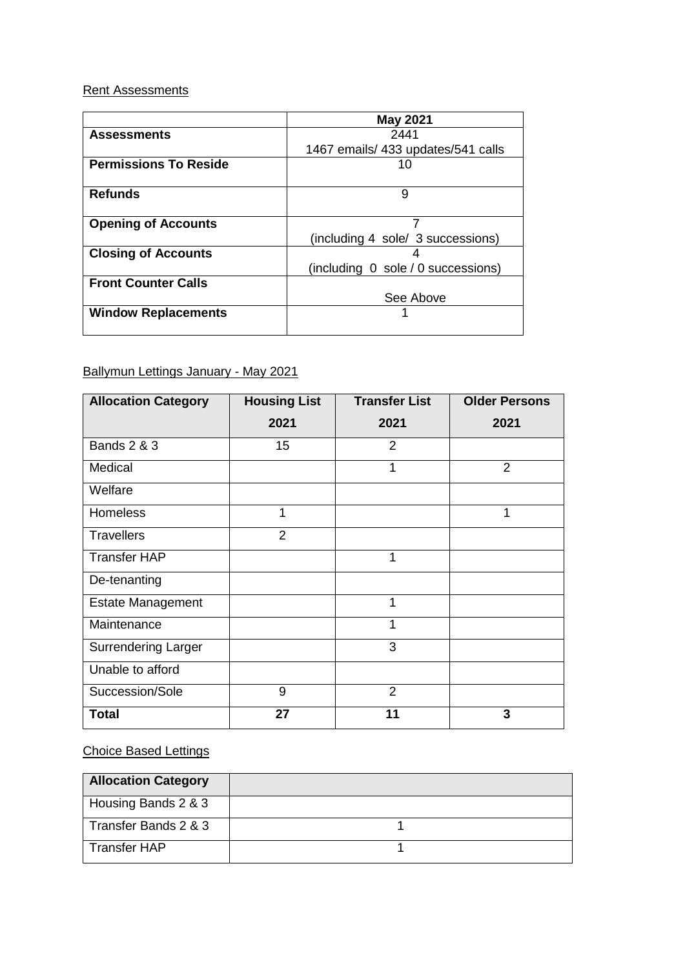# Rent Assessments

|                              | <b>May 2021</b>                    |  |
|------------------------------|------------------------------------|--|
| <b>Assessments</b>           | 2441                               |  |
|                              | 1467 emails/ 433 updates/541 calls |  |
| <b>Permissions To Reside</b> | 10                                 |  |
|                              |                                    |  |
| <b>Refunds</b>               | 9                                  |  |
|                              |                                    |  |
| <b>Opening of Accounts</b>   |                                    |  |
|                              | (including 4 sole/ 3 successions)  |  |
| <b>Closing of Accounts</b>   |                                    |  |
|                              | (including 0 sole / 0 successions) |  |
| <b>Front Counter Calls</b>   |                                    |  |
|                              | See Above                          |  |
| <b>Window Replacements</b>   |                                    |  |
|                              |                                    |  |

# Ballymun Lettings January - May 2021

| <b>Allocation Category</b> | <b>Housing List</b> | <b>Transfer List</b> | <b>Older Persons</b> |  |
|----------------------------|---------------------|----------------------|----------------------|--|
|                            | 2021                | 2021                 | 2021                 |  |
| <b>Bands 2 &amp; 3</b>     | 15                  | $\overline{2}$       |                      |  |
| Medical                    |                     | 1                    | $\overline{2}$       |  |
| Welfare                    |                     |                      |                      |  |
| <b>Homeless</b>            | 1                   |                      | 1                    |  |
| <b>Travellers</b>          | $\overline{2}$      |                      |                      |  |
| <b>Transfer HAP</b>        |                     | 1                    |                      |  |
| De-tenanting               |                     |                      |                      |  |
| <b>Estate Management</b>   |                     | 1                    |                      |  |
| Maintenance                |                     | 1                    |                      |  |
| <b>Surrendering Larger</b> |                     | 3                    |                      |  |
| Unable to afford           |                     |                      |                      |  |
| Succession/Sole            | 9                   | $\overline{2}$       |                      |  |
| <b>Total</b>               | 27                  | 11                   | 3                    |  |

# Choice Based Lettings

| <b>Allocation Category</b> |  |
|----------------------------|--|
| Housing Bands 2 & 3        |  |
| Transfer Bands 2 & 3       |  |
| <b>Transfer HAP</b>        |  |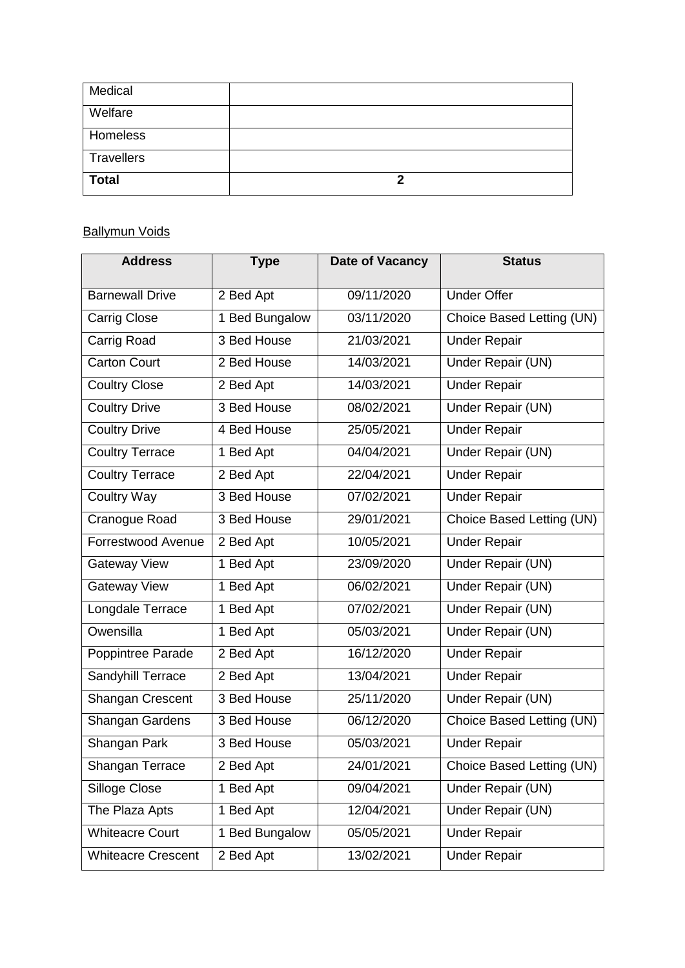| Medical      |  |
|--------------|--|
| Welfare      |  |
| Homeless     |  |
| Travellers   |  |
| <b>Total</b> |  |

# **Ballymun Voids**

| <b>Address</b>            | <b>Type</b>    | Date of Vacancy | <b>Status</b>             |
|---------------------------|----------------|-----------------|---------------------------|
| <b>Barnewall Drive</b>    | 2 Bed Apt      | 09/11/2020      | <b>Under Offer</b>        |
| Carrig Close              | 1 Bed Bungalow | 03/11/2020      | Choice Based Letting (UN) |
| Carrig Road               | 3 Bed House    | 21/03/2021      | <b>Under Repair</b>       |
| <b>Carton Court</b>       | 2 Bed House    | 14/03/2021      | Under Repair (UN)         |
| <b>Coultry Close</b>      | 2 Bed Apt      | 14/03/2021      | <b>Under Repair</b>       |
| <b>Coultry Drive</b>      | 3 Bed House    | 08/02/2021      | Under Repair (UN)         |
| <b>Coultry Drive</b>      | 4 Bed House    | 25/05/2021      | <b>Under Repair</b>       |
| <b>Coultry Terrace</b>    | 1 Bed Apt      | 04/04/2021      | <b>Under Repair (UN)</b>  |
| <b>Coultry Terrace</b>    | 2 Bed Apt      | 22/04/2021      | <b>Under Repair</b>       |
| <b>Coultry Way</b>        | 3 Bed House    | 07/02/2021      | <b>Under Repair</b>       |
| Cranogue Road             | 3 Bed House    | 29/01/2021      | Choice Based Letting (UN) |
| Forrestwood Avenue        | 2 Bed Apt      | 10/05/2021      | <b>Under Repair</b>       |
| <b>Gateway View</b>       | 1 Bed Apt      | 23/09/2020      | Under Repair (UN)         |
| <b>Gateway View</b>       | 1 Bed Apt      | 06/02/2021      | Under Repair (UN)         |
| Longdale Terrace          | 1 Bed Apt      | 07/02/2021      | Under Repair (UN)         |
| Owensilla                 | 1 Bed Apt      | 05/03/2021      | Under Repair (UN)         |
| Poppintree Parade         | 2 Bed Apt      | 16/12/2020      | <b>Under Repair</b>       |
| Sandyhill Terrace         | 2 Bed Apt      | 13/04/2021      | <b>Under Repair</b>       |
| Shangan Crescent          | 3 Bed House    | 25/11/2020      | Under Repair (UN)         |
| Shangan Gardens           | 3 Bed House    | 06/12/2020      | Choice Based Letting (UN) |
| Shangan Park              | 3 Bed House    | 05/03/2021      | <b>Under Repair</b>       |
| Shangan Terrace           | 2 Bed Apt      | 24/01/2021      | Choice Based Letting (UN) |
| Silloge Close             | 1 Bed Apt      | 09/04/2021      | Under Repair (UN)         |
| The Plaza Apts            | 1 Bed Apt      | 12/04/2021      | Under Repair (UN)         |
| <b>Whiteacre Court</b>    | 1 Bed Bungalow | 05/05/2021      | <b>Under Repair</b>       |
| <b>Whiteacre Crescent</b> | 2 Bed Apt      | 13/02/2021      | <b>Under Repair</b>       |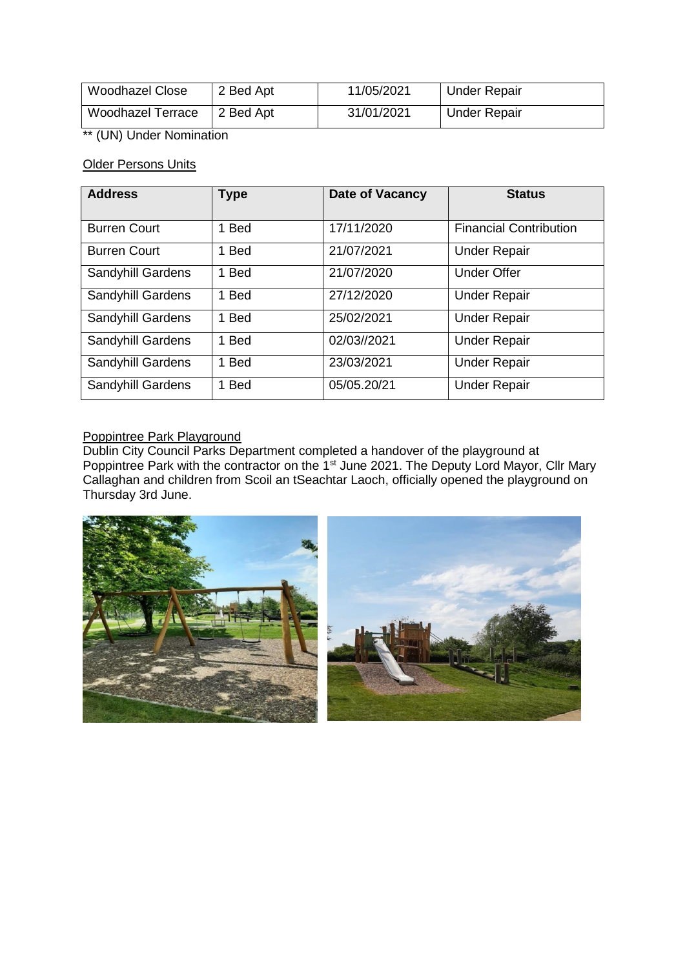| Woodhazel Close          | 2 Bed Apt | 11/05/2021 | <b>Under Repair</b> |
|--------------------------|-----------|------------|---------------------|
| <b>Woodhazel Terrace</b> | 2 Bed Apt | 31/01/2021 | <b>Under Repair</b> |

\*\* (UN) Under Nomination

# Older Persons Units

| <b>Address</b>      | <b>Type</b> | Date of Vacancy | <b>Status</b>                 |
|---------------------|-------------|-----------------|-------------------------------|
| <b>Burren Court</b> | 1 Bed       | 17/11/2020      | <b>Financial Contribution</b> |
| <b>Burren Court</b> | 1 Bed       | 21/07/2021      | <b>Under Repair</b>           |
| Sandyhill Gardens   | 1 Bed       | 21/07/2020      | <b>Under Offer</b>            |
| Sandyhill Gardens   | 1 Bed       | 27/12/2020      | <b>Under Repair</b>           |
| Sandyhill Gardens   | 1 Bed       | 25/02/2021      | <b>Under Repair</b>           |
| Sandyhill Gardens   | 1 Bed       | 02/03//2021     | <b>Under Repair</b>           |
| Sandyhill Gardens   | 1 Bed       | 23/03/2021      | <b>Under Repair</b>           |
| Sandyhill Gardens   | 1 Bed       | 05/05.20/21     | <b>Under Repair</b>           |

### Poppintree Park Playground

Dublin City Council Parks Department completed a handover of the playground at Poppintree Park with the contractor on the 1<sup>st</sup> June 2021. The Deputy Lord Mayor, Cllr Mary Callaghan and children from Scoil an tSeachtar Laoch, officially opened the playground on Thursday 3rd June.

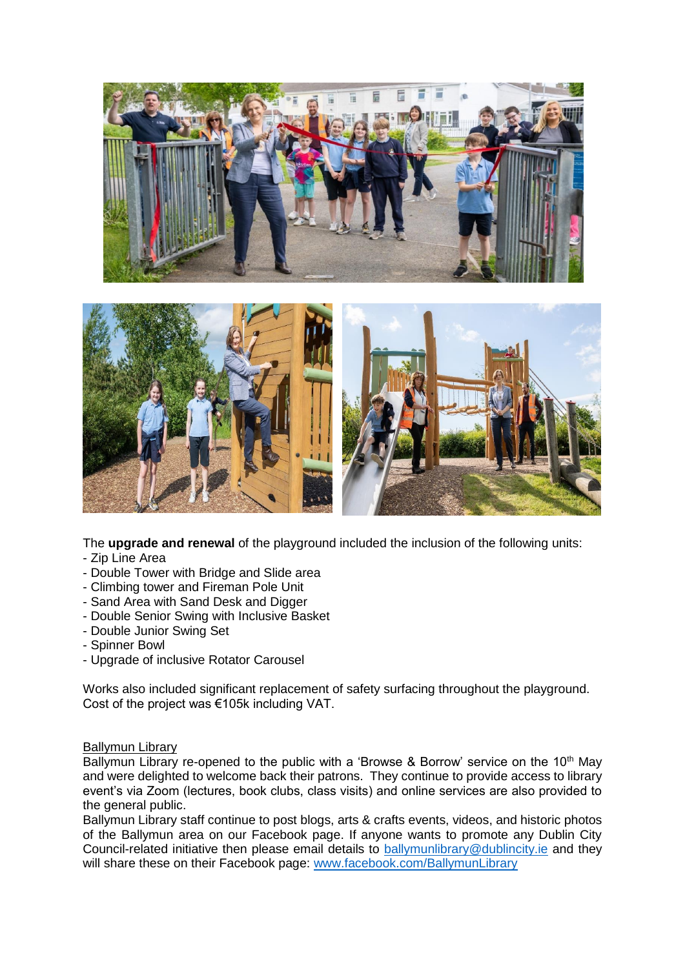

The **upgrade and renewal** of the playground included the inclusion of the following units:

- Zip Line Area
- Double Tower with Bridge and Slide area
- Climbing tower and Fireman Pole Unit
- Sand Area with Sand Desk and Digger
- Double Senior Swing with Inclusive Basket
- Double Junior Swing Set
- Spinner Bowl
- Upgrade of inclusive Rotator Carousel

Works also included significant replacement of safety surfacing throughout the playground. Cost of the project was €105k including VAT.

#### Ballymun Library

Ballymun Library re-opened to the public with a 'Browse & Borrow' service on the 10<sup>th</sup> May and were delighted to welcome back their patrons. They continue to provide access to library event's via Zoom (lectures, book clubs, class visits) and online services are also provided to the general public.

Ballymun Library staff continue to post blogs, arts & crafts events, videos, and historic photos of the Ballymun area on our Facebook page. If anyone wants to promote any Dublin City Council-related initiative then please email details to [ballymunlibrary@dublincity.ie](mailto:ballymunlibrary@dublincity.ie) and they will share these on their Facebook page: [www.facebook.com/BallymunLibrary](http://www.facebook.com/BallymunLibrary)